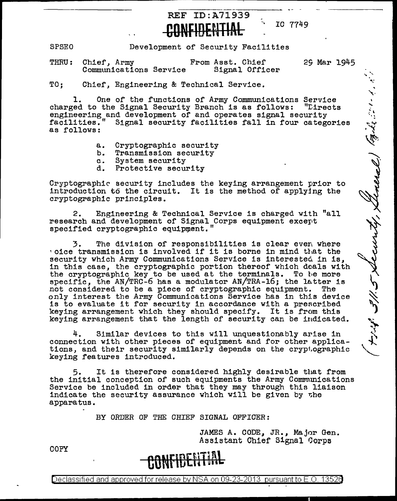

, IC 7749

 $\mathbf{r}$ 

 $\mathbf{L}$ 

جی مہریز ہو

**SPSEO** Development of Security Facilities

THRU: Chief, Army From Asst. Chief 29 Mar 1945<br>Communications Service Signal Officer Communications Service

TO; Chief, Engineering & Technical Service.

1. One of the functions of Army Communications Service<br>ed to the Signal Security Branch is as follows: "Lirects charged to the Signal Security Branch is as follows: engineering and development of and operates signal security<br>facilities." Signal security facilities fall in four catego " Signal security facilities fall in four categories as follows:

- a. Cryptographic security
- b. Transmission security<br>c. System security
- c. System security<br>d. Protective secu
- Protective security

Cryptographic security includes the keying arrangement prior to introduction to the circuit. It is the method of applying the cryptographic principles.

2. Engineering & Technical Service is charged with "all research and development of Signal Corps equipment except specified cryptographic equipment."

3. The division of responsibilities is clear even where voice transmission is involved if it is borne in mind that the security which Army Communications Service is interested in is, in this case, the cryptographic portion thereof which deals with the cryptographic key to be used at the terminals. To be more specific, the AN/TRC-6 has a modulator AN/TRA-16; the latter is<br>not considered to be a piece of cryptographic equipment. The not considered to be a piece of cryptographic equipment. only interest the Army Communications Service has in this device is to evaluate it for security in accordance with a prescribed keying arrangement which they should specify. It is from this keying arrangement that the length of security can be indicated.

Similar devices to this will unquestionably arise in connection with other pieces of equipment and for other applica- tions, and their security similarly depends on the cryp1,ographic keying features introduced.

It is therefore considered highly desirable that from the initial conception of such equipments the Army Communications Service be included in order that they may through this liaison indicate the security assurance which will be given by r.he apparatus.

BY ORDER OF THE CHIEF SIGNAL OFFICER:

JAMES A. CODE, JR., Major Gen. Assistant Chief Signal Qorpa

COPY

## **CONFIDERITAL**

Declassified and approved for release by NSA on 09-23-2013 pursuant to E.O. 13526